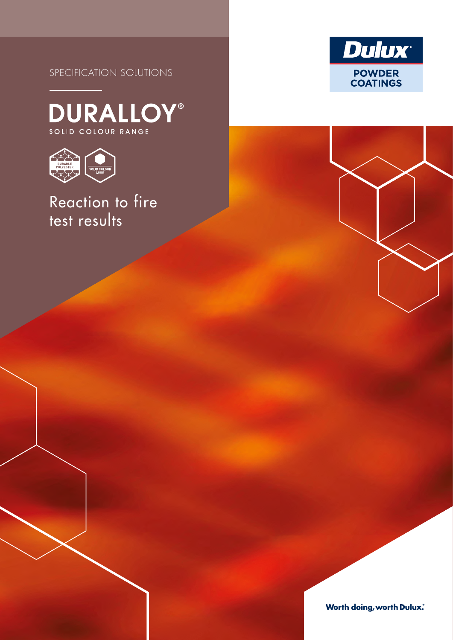SPECIFICATION SOLUTIONS



**DURALLOY®** SOLID COLOUR RANGE



Reaction to fire test results



**Worth doing, worth Dulux.**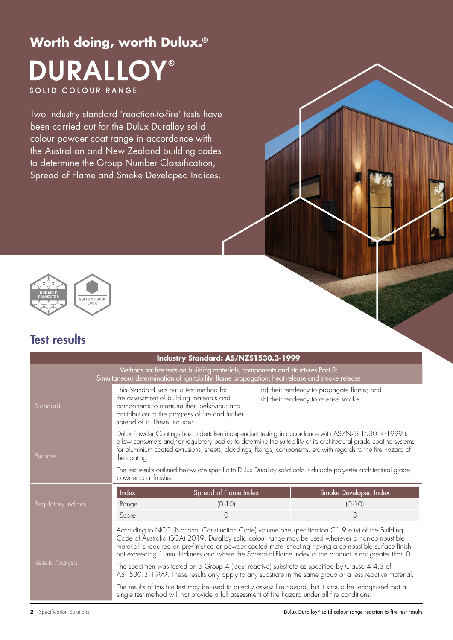# **Worth doing, worth Dulux.® DURALLOY®** SOLID COLOUR RANGE

Two industry standard 'reaction-to-fire' tests have been carried out for the Dulux Duralloy solid colour powder coat range in accordance with the Australian and New Zealand building codes to determine the Group Number Classification, Spread of Flame and Smoke Developed Indices.



# Test results

| Industry Standard: AS/NZS1530.3-1999                                                                                                                                             |                                                                                                                                                                                                                                                                                                                                                                                                                             |                                                                                                                                                                                       |                                                                                    |  |  |
|----------------------------------------------------------------------------------------------------------------------------------------------------------------------------------|-----------------------------------------------------------------------------------------------------------------------------------------------------------------------------------------------------------------------------------------------------------------------------------------------------------------------------------------------------------------------------------------------------------------------------|---------------------------------------------------------------------------------------------------------------------------------------------------------------------------------------|------------------------------------------------------------------------------------|--|--|
| Methods for fire tests on building materials, components and structures Part 3:<br>Simultaneous determination of ignitability, flame propagation, heat release and smoke release |                                                                                                                                                                                                                                                                                                                                                                                                                             |                                                                                                                                                                                       |                                                                                    |  |  |
| Standard                                                                                                                                                                         | spread of it. These include:                                                                                                                                                                                                                                                                                                                                                                                                | This Standard sets out a test method for<br>the assessment of building materials and<br>components to measure their behaviour and<br>contribution to the progress of fire and further | (a) their tendency to propagate flame; and<br>(b) their tendency to release smoke. |  |  |
| Purpose                                                                                                                                                                          | Dulux Powder Coatings has undertaken independent testing in accordance with AS/NZS 1530.3-1999 to<br>allow consumers and/or regulatory bodies to determine the suitability of its architectural grade coating systems<br>for aluminium coated extrusions, sheets, claddings, fixings, components, etc with regards to the fire hazard of<br>the coating.                                                                    |                                                                                                                                                                                       |                                                                                    |  |  |
|                                                                                                                                                                                  | The test results outlined below are specific to Dulux Duralloy solid colour durable polyester architectural grade<br>powder coat finishes.                                                                                                                                                                                                                                                                                  |                                                                                                                                                                                       |                                                                                    |  |  |
| Regulatory Indices                                                                                                                                                               | Index                                                                                                                                                                                                                                                                                                                                                                                                                       | Spread of Flame Index                                                                                                                                                                 | Smoke Developed Index                                                              |  |  |
|                                                                                                                                                                                  | Range                                                                                                                                                                                                                                                                                                                                                                                                                       | $[O-1O]$                                                                                                                                                                              | $(O-1O)$                                                                           |  |  |
|                                                                                                                                                                                  | Score                                                                                                                                                                                                                                                                                                                                                                                                                       | $\circ$                                                                                                                                                                               | 3                                                                                  |  |  |
| Results Analysis                                                                                                                                                                 | According to NCC (National Construction Code) volume one specification C1.9 e (v) of the Building<br>Code of Australia (BCA) 2019, Duralloy solid colour range may be used wherever a non-combustible<br>material is required on pre-finished or powder coated metal sheeting having a combustible surface finish<br>not exceeding 1 mm thickness and where the Spread-of-Flame Index of the product is not greater than 0. |                                                                                                                                                                                       |                                                                                    |  |  |
|                                                                                                                                                                                  | The specimen was tested on a Group 4 (least reactive) substrate as specified by Clause 4.4.3 of<br>AS1530.3:1999. These results only apply to any substrate in the same group or a less reactive material.                                                                                                                                                                                                                  |                                                                                                                                                                                       |                                                                                    |  |  |
|                                                                                                                                                                                  | The results of this fire test may be used to directly assess fire hazard, but it should be recognized that a<br>single test method will not provide a full assessment of fire hazard under all fire conditions.                                                                                                                                                                                                             |                                                                                                                                                                                       |                                                                                    |  |  |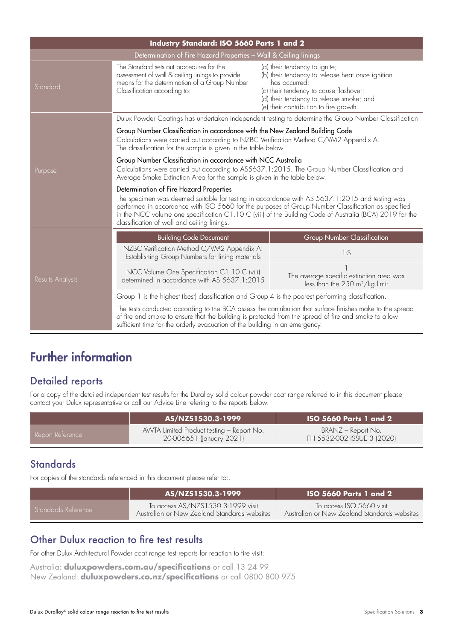| Industry Standard: ISO 5660 Parts 1 and 2 |                                                                                                                                                                                                                                                                                                                                                                                                           |                                                                                                                                                                                                                                    |  |  |  |
|-------------------------------------------|-----------------------------------------------------------------------------------------------------------------------------------------------------------------------------------------------------------------------------------------------------------------------------------------------------------------------------------------------------------------------------------------------------------|------------------------------------------------------------------------------------------------------------------------------------------------------------------------------------------------------------------------------------|--|--|--|
|                                           | Determination of Fire Hazard Properties - Wall & Ceiling linings                                                                                                                                                                                                                                                                                                                                          |                                                                                                                                                                                                                                    |  |  |  |
| Standard                                  | The Standard sets out procedures for the<br>assessment of wall & ceiling linings to provide<br>means for the determination of a Group Number<br>Classification according to:                                                                                                                                                                                                                              | (a) their tendency to ignite;<br>(b) their tendency to release heat once ignition<br>has occurred:<br>(c) their tendency to cause flashover;<br>(d) their tendency to release smoke; and<br>(e) their contribution to fire growth. |  |  |  |
|                                           | Dulux Powder Coatings has undertaken independent testing to determine the Group Number Classification                                                                                                                                                                                                                                                                                                     |                                                                                                                                                                                                                                    |  |  |  |
| Purpose                                   | Group Number Classification in accordance with the New Zealand Building Code<br>Calculations were carried out according to NZBC Verification Method C/VM2 Appendix A.<br>The classification for the sample is given in the table below.                                                                                                                                                                   |                                                                                                                                                                                                                                    |  |  |  |
|                                           | Group Number Classification in accordance with NCC Australia<br>Calculations were carried out according to AS5637.1:2015. The Group Number Classification and<br>Average Smoke Extinction Area for the sample is given in the table below.                                                                                                                                                                |                                                                                                                                                                                                                                    |  |  |  |
|                                           | Determination of Fire Hazard Properties<br>The specimen was deemed suitable for testing in accordance with AS 5637.1:2015 and testing was<br>performed in accordance with ISO 5660 for the purposes of Group Number Classification as specified<br>in the NCC volume one specification C1.10 C (viii) of the Building Code of Australia (BCA) 2019 for the<br>classification of wall and ceiling linings. |                                                                                                                                                                                                                                    |  |  |  |
| Results Analysis                          | <b>Building Code Document</b>                                                                                                                                                                                                                                                                                                                                                                             | <b>Group Number Classification</b>                                                                                                                                                                                                 |  |  |  |
|                                           | NZBC Verification Method C/VM2 Appendix A:<br>Establishing Group Numbers for lining materials                                                                                                                                                                                                                                                                                                             | $1-S$                                                                                                                                                                                                                              |  |  |  |
|                                           | NCC Volume One Specification C1.10 C (viii)<br>determined in accordance with AS 5637.1:2015                                                                                                                                                                                                                                                                                                               | The average specific extinction area was<br>less than the $250 \text{ m}^2/\text{kg}$ limit                                                                                                                                        |  |  |  |
|                                           | Group 1 is the highest (best) classification and Group 4 is the poorest performing classification.                                                                                                                                                                                                                                                                                                        |                                                                                                                                                                                                                                    |  |  |  |
|                                           | The tests conducted according to the BCA assess the contribution that surface finishes make to the spread<br>of fire and smoke to ensure that the building is protected from the spread of fire and smoke to allow<br>sufficient time for the orderly evacuation of the building in an emergency.                                                                                                         |                                                                                                                                                                                                                                    |  |  |  |

# Further information

### Detailed reports

For a copy of the detailed independent test results for the Duralloy solid colour powder coat range referred to in this document please contact your Dulux representative or call our Advice Line refering to the reports below.

|                  | AS/NZS1530.3-1999                                                     | $\,$ ISO 5660 Parts 1 and 2 $\,$                 |
|------------------|-----------------------------------------------------------------------|--------------------------------------------------|
| Report Reference | AWTA Limited Product testing - Report No.<br>20-006651 (January 2021) | BRANZ – Report No.<br>FH 5532-002 ISSUE 3 (2020) |

### **Standards**

For copies of the standards referenced in this document please refer to:.

|                     | AS/NZS1530.3-1999                                                                 | <b>ISO 5660 Parts 1 and 2</b>                                            |
|---------------------|-----------------------------------------------------------------------------------|--------------------------------------------------------------------------|
| Standards Reference | To access AS/NZS1530.3-1999 visit<br>Australian or New Zealand Standards websites | To access ISO 5660 visit<br>Australian or New Zealand Standards websites |

### Other Dulux reaction to fire test results

For other Dulux Architectural Powder coat range test reports for reaction to fire visit:

Australia: **[duluxpowders.com.au/specifications](http://duluxpowders.com.au/specifications)** or call 13 24 99 New Zealand: **[duluxpowders.co.nz/specifications](http://duluxpowders.co.nz/specifications)** or call 0800 800 975